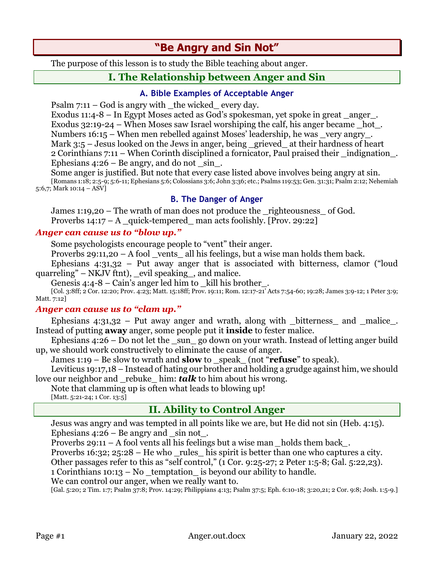# **"Be Angry and Sin Not"**

The purpose of this lesson is to study the Bible teaching about anger.

# **I. The Relationship between Anger and Sin**

### **A. Bible Examples of Acceptable Anger**

Psalm  $7:11 - God$  is angry with the wicked every day.

Exodus  $11:4-8$  – In Egypt Moses acted as God's spokesman, yet spoke in great anger. Exodus  $32:19-24$  – When Moses saw Israel worshiping the calf, his anger became hot. Numbers 16:15 – When men rebelled against Moses' leadership, he was very angry. Mark 3:5 – Jesus looked on the Jews in anger, being \_grieved\_ at their hardness of heart 2 Corinthians 7:11 – When Corinth disciplined a fornicator, Paul praised their \_indignation\_. Ephesians  $4:26$  – Be angry, and do not sin.

Some anger is justified. But note that every case listed above involves being angry at sin. [Romans 1:18; 2:5-9; 5:6-11; Ephesians 5:6; Colossians 3:6; John 3:36; etc.; Psalms 119:53; Gen. 31:31; Psalm 2:12; Nehemiah 5:6,7; Mark 10:14 – ASV]

### **B. The Danger of Anger**

James 1:19,20 – The wrath of man does not produce the righteousness of God. Proverbs  $14:17 - A$  quick-tempered man acts foolishly. [Prov. 29:22]

### *Anger can cause us to "blow up."*

Some psychologists encourage people to "vent" their anger.

Proverbs 29:11,20 – A fool vents all his feelings, but a wise man holds them back.

Ephesians 4:31,32 – Put away anger that is associated with bitterness, clamor ("loud quarreling" – NKJV ftnt), \_evil speaking\_, and malice.

Genesis 4:4-8 – Cain's anger led him to kill his brother.

[Col. 3:8ff; 2 Cor. 12:20; Prov. 4:23; Matt. 15:18ff; Prov. 19:11; Rom. 12:17-21' Acts 7:54-60; 19:28; James 3:9-12; 1 Peter 3:9; Matt. 7:12]

#### *Anger can cause us to "clam up."*

Ephesians  $4:31,32$  – Put away anger and wrath, along with  $_1$  bitterness and  $_2$  malice... Instead of putting **away** anger, some people put it **inside** to fester malice.

Ephesians  $4:26 - Do$  not let the \_sun\_go down on your wrath. Instead of letting anger build up, we should work constructively to eliminate the cause of anger.

James 1:19 – Be slow to wrath and **slow** to \_speak\_ (not "**refuse**" to speak).

Leviticus 19:17,18 – Instead of hating our brother and holding a grudge against him, we should love our neighbor and rebuke him: *talk* to him about his wrong.

Note that clamming up is often what leads to blowing up!

[Matt. 5:21-24; 1 Cor. 13:5]

# **II. Ability to Control Anger**

Jesus was angry and was tempted in all points like we are, but He did not sin (Heb. 4:15). Ephesians  $4:26$  – Be angry and \_sin not\_.

Proverbs 29:11 – A fool vents all his feelings but a wise man *\_*holds them back*\_*.

Proverbs 16:32; 25:28 – He who rules his spirit is better than one who captures a city.

Other passages refer to this as "self control," (1 Cor. 9:25-27; 2 Peter 1:5-8; Gal. 5:22,23).

1 Corinthians 10:13 – No \_temptation\_ is beyond our ability to handle.

We can control our anger, when we really want to.

[Gal. 5:20; 2 Tim. 1:7; Psalm 37:8; Prov. 14:29; Philippians 4:13; Psalm 37:5; Eph. 6:10-18; 3:20,21; 2 Cor. 9:8; Josh. 1:5-9.]